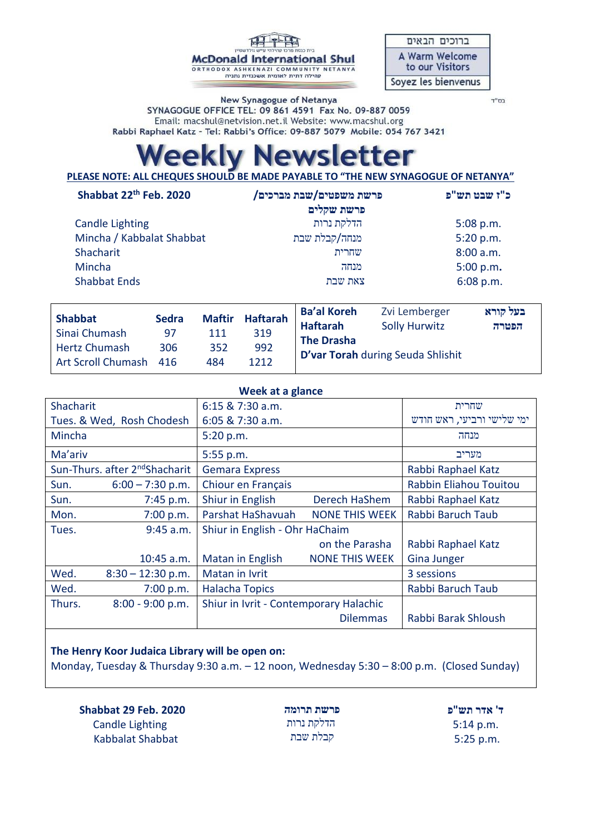**McDonald International Shul** ORTHODOX ASHKENAZI COMMUNITY NETANYA<br>קהילה דתית לאומית אשכנזית נתניה

| ברוכים הבאים                             |
|------------------------------------------|
| <b>A Warm Welcome</b><br>to our Visitors |
| Soyez les bienvenus                      |

New Synagogue of Netanya SYNAGOGUE OFFICE TEL: 09 861 4591 Fax No. 09-887 0059 Email: macshul@netvision.net.il Website: www.macshul.org Rabbi Raphael Katz - Tel: Rabbi's Office: 09-887 5079 Mobile: 054 767 3421 בס"ד

## **ewsletter PAKV**

**PLEASE NOTE: ALL CHEQUES SHOULD BE MADE PAYABLE TO "THE NEW SYNAGOGUE OF NETANYA"** 

| Shabbat 22 <sup>th</sup> Feb. 2020                                      |     |     | פרשת משפטים/שבת מברכים/<br>פרשת שקלים |                   |     | כ"ז שבט תש"פ                        |                 |                      |               |                 |                    |
|-------------------------------------------------------------------------|-----|-----|---------------------------------------|-------------------|-----|-------------------------------------|-----------------|----------------------|---------------|-----------------|--------------------|
| <b>Candle Lighting</b>                                                  |     |     | הדלקת נרות                            |                   |     | $5:08$ p.m.                         |                 |                      |               |                 |                    |
| Mincha / Kabbalat Shabbat<br>Shacharit<br>Mincha<br><b>Shabbat Ends</b> |     |     | מנחה/קבלת שבת<br>שחרית<br>מנחה        |                   |     | 5:20 p.m.<br>8:00 a.m.<br>5:00 p.m. |                 |                      |               |                 |                    |
|                                                                         |     |     |                                       |                   |     |                                     |                 | צאת שבת              |               | $6:08$ p.m.     |                    |
|                                                                         |     |     |                                       |                   |     |                                     | <b>Shabbat</b>  | <b>Sedra</b>         | <b>Maftir</b> | <b>Haftarah</b> | <b>Ba'al Koreh</b> |
|                                                                         |     |     | Sinai Chumash                         | 97                | 111 | 319                                 | <b>Haftarah</b> | <b>Solly Hurwitz</b> | הפטרה         |                 |                    |
| Hartz Chumach                                                           | 206 | つにつ | 002                                   | <b>The Drasha</b> |     |                                     |                 |                      |               |                 |                    |

| <b>D'var Torah</b> during Seuda Shlishit |  |
|------------------------------------------|--|
|------------------------------------------|--|

| Week at a glance                                       |                     |                                        |                            |                        |  |
|--------------------------------------------------------|---------------------|----------------------------------------|----------------------------|------------------------|--|
| Shacharit                                              |                     | 6:15 & 7:30 a.m.                       | שחרית                      |                        |  |
| Tues. & Wed, Rosh Chodesh                              |                     | 6:05 & 7:30 a.m.                       | ימי שלישי ורביעי, ראש חודש |                        |  |
| Mincha                                                 |                     | 5:20 p.m.                              | מנחה                       |                        |  |
| Ma'ariv                                                |                     | 5:55 p.m.                              | מעריב                      |                        |  |
| Sun-Thurs. after 2 <sup>nd</sup> Shacharit             |                     | <b>Gemara Express</b>                  | Rabbi Raphael Katz         |                        |  |
| Sun.                                                   | $6:00 - 7:30$ p.m.  | Chiour en Français                     |                            | Rabbin Eliahou Touitou |  |
| Sun.                                                   | 7:45 p.m.           | Shiur in English                       | Derech HaShem              | Rabbi Raphael Katz     |  |
| Mon.                                                   | 7:00 p.m.           | Parshat HaShavuah                      | <b>NONE THIS WEEK</b>      | Rabbi Baruch Taub      |  |
| Shiur in English - Ohr HaChaim<br>$9:45$ a.m.<br>Tues. |                     |                                        |                            |                        |  |
|                                                        |                     |                                        | on the Parasha             | Rabbi Raphael Katz     |  |
|                                                        | 10:45 a.m.          | Matan in English                       | <b>NONE THIS WEEK</b>      | <b>Gina Junger</b>     |  |
| Wed.                                                   | $8:30 - 12:30$ p.m. | Matan in Ivrit                         |                            | 3 sessions             |  |
| Wed.                                                   | 7:00 p.m.           | <b>Halacha Topics</b>                  |                            | Rabbi Baruch Taub      |  |
| Thurs.                                                 | $8:00 - 9:00 p.m.$  | Shiur in Ivrit - Contemporary Halachic |                            |                        |  |
|                                                        |                     |                                        | <b>Dilemmas</b>            | Rabbi Barak Shloush    |  |

## **The Henry Koor Judaica Library will be open on:**

Hertz Chumash 306 352 992 Art Scroll Chumash 416 484 1212

Monday, Tuesday & Thursday 9:30 a.m. – 12 noon, Wednesday 5:30 – 8:00 p.m. (Closed Sunday)

 **Shabbat 29 Feb. 2020** Candle Lighting Kabbalat Shabbat

**פרשת תרומה** הדלקת נרות קבלת שבת

**ד' אדר תש"פ** 5:14 p.m. 5:25 p.m.